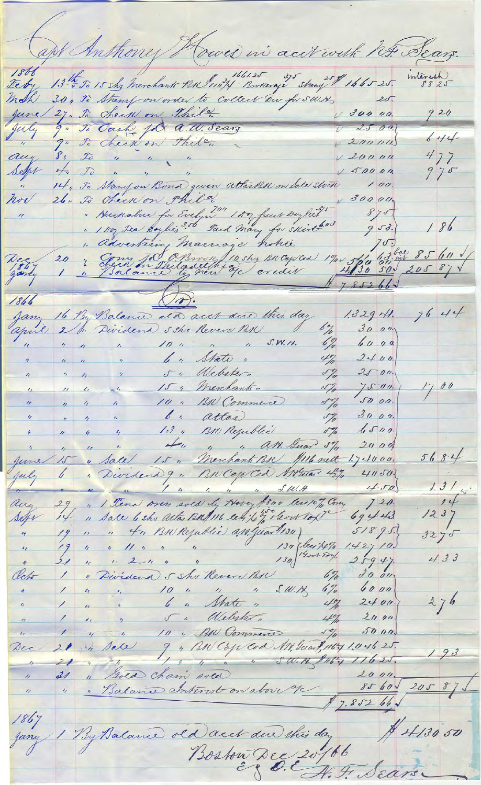apt Anthony Howes in accrocit his Sears. 1868 mtenesh 13th To 15 shy merchants Bulling Brownage stany \$ 1665 25. Feby  $20.$ 30, To Stamp on order to collect Dir for S.W.N. mch  $920$  $030000.$ 27. To check on thela June 9. To Cash Joa a. W. Seary  $U = 2500$ July 9" To check on Thile.  $644$  $200001$  $\frac{8}{4}$ ,  $\frac{70}{4}$  ,  $\frac{70}{4}$  ,  $\frac{70}{4}$  ,  $\frac{70}{4}$  $477$ aug  $v_{20000}$ Selps  $V 50000$  $975$ 14, To Stamfon Bond geven attacks on Sale Stock  $\alpha$  $100.$ 26. To Check on Phila. hor 300000 " Huenabur for Evelyn" 1 Ar fuit Doyles"  $875.$  $\frac{1}{2}$  $186$  $953.$ 753<br>11 5/0 13 min 85 611 1 " Advertisin Marriage hohie<br>20 " Genn Jo Chwon / 14 shz BN Cap Cod 1900 Deg  $1866$  $7644$ Jany 16 By Balance ald acct and this day  $1.329$  H.  $\frac{6}{7}$ april 2 b. Divident she Revere BN  $30,00$ " " " " " 10 " " " S.W.H. <u>6%</u>  $6000$ " " " 6" State"  $2400$  $4\frac{7}{10}$ " " " 5" Mebater"  $\mathscr{I}'_{\mathscr{I}}$  $2500.$  $\sqrt{2}$  $1700$  $\frac{1}{2}$ 15; Merchants"  $75 - 00$  $\mathscr{S}_{\mathscr{A}}^{\varphi}$  $\frac{1}{2\pi}\left\langle \mathcal{L}_{\mathcal{L}_{\mathcal{L}_{\mathcal{L}_{\mathcal{L}}}}} \right\rangle$  $\theta$  $\frac{1}{2}$  $JU$  00. 10 " BN Commerce  $\eta$   $\eta$  $\mathscr{S}'_p$  $\boldsymbol{\eta}$ " " " b" atlas  $3000$ .  $J\tilde{a}$  $\epsilon$ \* 11 4 4 13 , BN Regublic 5% 5%  $1500$  $2000$  $\frac{1}{2}$  $5684$ gene 15 y Sale 15 " Merchant BR Hill nett  $1.74000$ 6, Dividend 9, BN Cope Cod ANTUAN 45%  $41.50$ July  $450$  $1.31...$ 1 4 m 29, " I Tena overs sold by Hover \$800 less 10% Com,  $14$  $720.$ aug  $1237$  $69443$ Sepr 19 " " 4" BN Rejublic and Guardisa  $51895$  $32y5$  $1.42710$  $433$  $25947$  $\overline{u}$  $\mathcal{L}/$  $300$ "Dividend 5 sho Revere BIL 6%  $67/$ Olcho  $\overline{\phantom{a}}$ 1 " " 6" Mate " 4%  $6000$  $\frac{1}{2}$  $376$  $2400.$  $\vert q \vert$ 1, 4 5 % Mebster " 4%  $2000$  $5000$  $\ell_{\ell}$  $\overline{\phantom{a}}$ 9 , BN Cope Cod AN. Suand, 1164 1.046 25. 21 in sale Dec 21 " Soca cham soca dove 9/ 85 60  $193$  $20587$  $8560$  $7.852 66 \sqrt$ 1867 1 By Balance de Dacet du this day 141  $1867$ \$ 4.130 50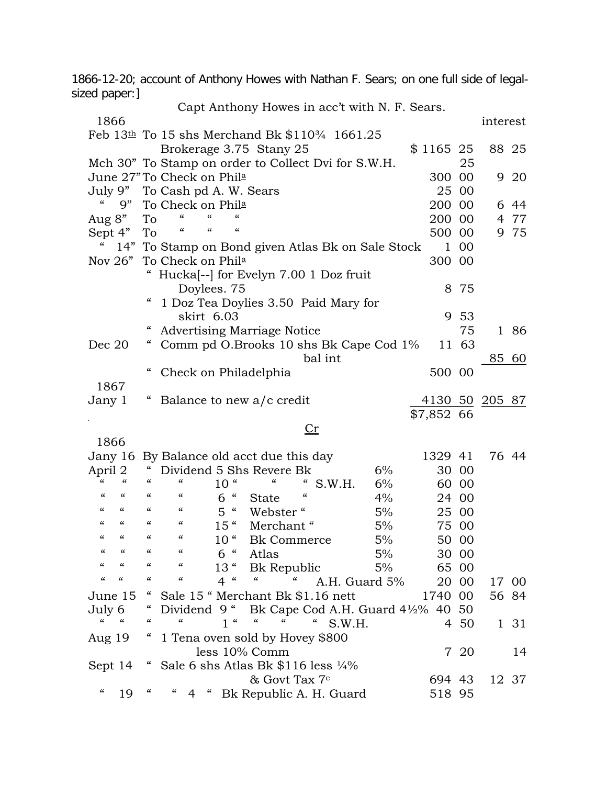1866-12-20; account of Anthony Howes with Nathan F. Sears; on one full side of legalsized paper:]  $Cont$  Anthony Howes in acc't with  $N$   $F$   $S$ .

|                                                      |                                        |                                                   |                                                                   | Capt Anthony Howes in acc t with N. F. Sears.                  |                      |    |                       |        |              |       |
|------------------------------------------------------|----------------------------------------|---------------------------------------------------|-------------------------------------------------------------------|----------------------------------------------------------------|----------------------|----|-----------------------|--------|--------------|-------|
| 1866                                                 |                                        |                                                   |                                                                   |                                                                |                      |    |                       |        | interest     |       |
|                                                      |                                        |                                                   |                                                                   | Feb $13th$ To 15 shs Merchand Bk \$110 <sup>3</sup> /4 1661.25 |                      |    |                       |        |              |       |
|                                                      |                                        |                                                   |                                                                   | Brokerage 3.75 Stany 25                                        |                      |    | $$1165$ 25            |        | 88 25        |       |
|                                                      |                                        |                                                   |                                                                   | Mch 30" To Stamp on order to Collect Dvi for S.W.H.            |                      |    |                       | 25     |              |       |
|                                                      |                                        | June 27" To Check on Phila                        |                                                                   |                                                                |                      |    | 300 00                |        |              | 9 20  |
| July 9"                                              |                                        | To Cash pd A. W. Sears                            |                                                                   |                                                                |                      |    |                       | 25 00  |              |       |
| "<br>9"                                              |                                        | To Check on Phila                                 |                                                                   |                                                                |                      |    | 200 00                |        |              | 6 44  |
| Aug 8"                                               | To                                     | $\epsilon$<br>$\epsilon$                          | $\epsilon$                                                        |                                                                |                      |    | 200 00                |        |              | 4 77  |
|                                                      | To                                     | $\epsilon$<br>"                                   | "                                                                 |                                                                |                      |    | 500 00                |        |              | 9 75  |
| Sept 4"                                              |                                        |                                                   |                                                                   |                                                                |                      |    |                       |        |              |       |
| 14"                                                  |                                        |                                                   |                                                                   | To Stamp on Bond given Atlas Bk on Sale Stock                  |                      |    | $\mathbf{1}$          | 00     |              |       |
| Nov $26"$                                            |                                        | 300 00<br>To Check on Phila                       |                                                                   |                                                                |                      |    |                       |        |              |       |
|                                                      |                                        | Hucka <sup>[--]</sup> for Evelyn 7.00 1 Doz fruit |                                                                   |                                                                |                      |    |                       |        |              |       |
|                                                      |                                        | 8 75<br>Doylees. 75                               |                                                                   |                                                                |                      |    |                       |        |              |       |
|                                                      | "                                      | 1 Doz Tea Doylies 3.50 Paid Mary for              |                                                                   |                                                                |                      |    |                       |        |              |       |
|                                                      |                                        | skirt 6.03                                        |                                                                   |                                                                |                      |    |                       | 9 53   |              |       |
|                                                      | "                                      |                                                   |                                                                   | <b>Advertising Marriage Notice</b>                             |                      |    |                       | 75     |              | 1 86  |
| Dec 20                                               | "                                      |                                                   |                                                                   | Comm pd O.Brooks 10 shs Bk Cape Cod 1%                         |                      |    |                       | 11 63  |              |       |
|                                                      |                                        |                                                   |                                                                   |                                                                | bal int              |    |                       |        | <u>85 60</u> |       |
|                                                      |                                        | Check on Philadelphia                             |                                                                   |                                                                |                      |    | 500 00                |        |              |       |
| 1867                                                 |                                        |                                                   |                                                                   |                                                                |                      |    |                       |        |              |       |
| Jany 1                                               |                                        |                                                   |                                                                   | Balance to new a/c credit                                      |                      |    | <u>4130 50 205 87</u> |        |              |       |
|                                                      |                                        |                                                   |                                                                   |                                                                |                      |    | \$7,852 66            |        |              |       |
|                                                      |                                        |                                                   |                                                                   |                                                                |                      |    |                       |        |              |       |
|                                                      |                                        |                                                   |                                                                   | <u>Cr</u>                                                      |                      |    |                       |        |              |       |
| 1866                                                 |                                        |                                                   |                                                                   |                                                                |                      |    |                       |        |              |       |
|                                                      |                                        |                                                   |                                                                   | Jany 16 By Balance old acct due this day                       |                      |    | 1329 41               |        | 76 44        |       |
| April 2<br>$\epsilon$<br>$\epsilon$                  | $\epsilon$                             | "                                                 |                                                                   | Dividend 5 Shs Revere Bk                                       |                      | 6% |                       | 30 00  |              |       |
|                                                      |                                        |                                                   | 10 <sup>4</sup>                                                   | "                                                              | S.W.H.               | 6% |                       | 60 00  |              |       |
| $\epsilon$<br>"                                      | $\boldsymbol{\zeta}\boldsymbol{\zeta}$ | $\epsilon$                                        | $\epsilon$<br>6                                                   | $\epsilon$<br><b>State</b>                                     |                      | 4% |                       | 24 00  |              |       |
| "<br>"                                               | "                                      | "                                                 | 5 <sup>1</sup><br>$\boldsymbol{\varsigma} \boldsymbol{\varsigma}$ | Webster"                                                       |                      | 5% |                       | 25 00  |              |       |
| $\epsilon$<br>"                                      | $\epsilon$                             | $\boldsymbol{\zeta}\boldsymbol{\zeta}$            | 15"                                                               | Merchant"                                                      |                      | 5% |                       | 75 00  |              |       |
| $\epsilon$<br>$\epsilon$                             | "                                      | "                                                 | 10 <sup>4</sup>                                                   | <b>Bk</b> Commerce                                             |                      | 5% |                       | 50 00  |              |       |
| $\epsilon$<br>$\epsilon$                             | $\epsilon$                             | $\epsilon$                                        | 6 <sup>"</sup>                                                    | Atlas                                                          |                      | 5% |                       | 30 00  |              |       |
| "<br>"                                               | "                                      | "                                                 | $13$ "                                                            | Bk Republic                                                    |                      | 5% |                       | 65 00  |              |       |
| $\pmb{\zeta}\pmb{\zeta}$<br>$\pmb{\zeta}\pmb{\zeta}$ | $\epsilon$                             | "                                                 | 4 <sup>4</sup>                                                    | $\epsilon\epsilon$<br>$\epsilon$                               | A.H. Guard 5%        |    |                       | 20 00  |              | 17 00 |
| June 15                                              | $\epsilon$                             |                                                   |                                                                   | Sale 15 " Merchant Bk \$1.16 nett                              |                      |    | 1740                  | $00\,$ | 56 84        |       |
| July 6                                               | "                                      | Dividend 9 "                                      |                                                                   | Bk Cape Cod A.H. Guard $4\frac{1}{2}\%$ 40 50                  |                      |    |                       |        |              |       |
| "<br>$\boldsymbol{\zeta}\boldsymbol{\zeta}$          | "                                      | "                                                 | 1 <sup>4</sup>                                                    | $\boldsymbol{\varsigma}\boldsymbol{\varsigma}$<br>"            | $\epsilon$<br>S.W.H. |    |                       | 4 50   |              | 1 31  |
|                                                      |                                        |                                                   |                                                                   |                                                                |                      |    |                       |        |              |       |
| Aug 19                                               |                                        |                                                   |                                                                   | 1 Tena oven sold by Hovey \$800                                |                      |    |                       |        |              |       |
|                                                      |                                        |                                                   |                                                                   | less 10% Comm                                                  |                      |    |                       | 7 20   |              | 14    |
| Sept 14                                              | $\epsilon$                             |                                                   |                                                                   | Sale 6 shs Atlas Bk \$116 less 1/4%                            |                      |    |                       |        |              |       |
|                                                      |                                        |                                                   |                                                                   | & Govt Tax 7 <sup>c</sup>                                      |                      |    | 694 43                |        |              | 12 37 |

" 19 " " 4 " Bk Republic A. H. Guard 518 95